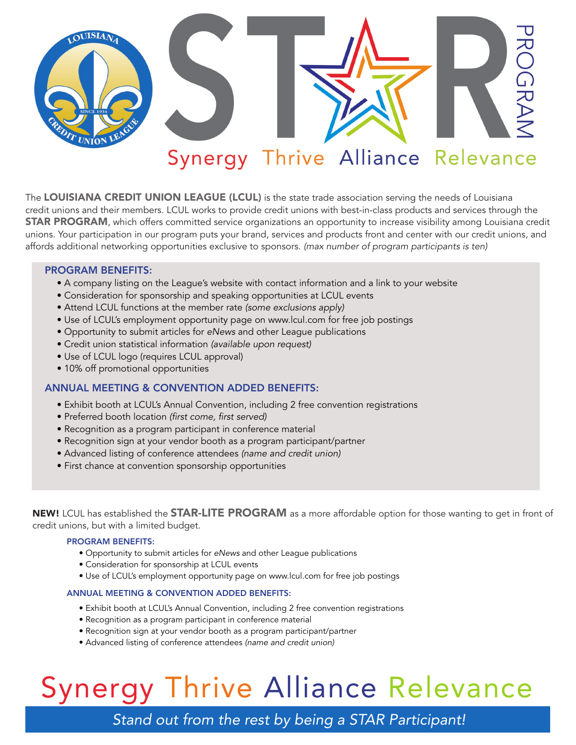

# Synergy Thrive Alliance Relevance

The LOUISIANA CREDIT UNION LEAGUE (LCUL) is the state trade association serving the needs of Louisiana credit unions and their members. LCUL works to provide credit unions with best-in-class products and services through the **STAR PROGRAM**, which offers committed service organizations an opportunity to increase visibility among Louisiana credit unions. Your participation in our program puts your brand, services and products front and center with our credit unions, and affords additional networking opportunities exclusive to sponsors. *(max number of program participants is ten)*

### PROGRAM BENEFITS:

- A company listing on the League's website with contact information and a link to your website
- Consideration for sponsorship and speaking opportunities at LCUL events
- Attend LCUL functions at the member rate *(some exclusions apply)*
- Use of LCUL's employment opportunity page on www.lcul.com for free job postings
- Opportunity to submit articles for *eNews* and other League publications
- Credit union statistical information *(available upon request)*
- Use of LCUL logo (requires LCUL approval)
- 10% off promotional opportunities

### ANNUAL MEETING & CONVENTION ADDED BENEFITS:

- Exhibit booth at LCUL's Annual Convention, including 2 free convention registrations
- Preferred booth location *(first come, first served)*
- Recognition as a program participant in conference material
- Recognition sign at your vendor booth as a program participant/partner
- Advanced listing of conference attendees *(name and credit union)*
- First chance at convention sponsorship opportunities

NEW! LCUL has established the **STAR-LITE PROGRAM** as a more affordable option for those wanting to get in front of credit unions, but with a limited budget.

### PROGRAM BENEFITS:

- Opportunity to submit articles for *eNews* and other League publications
- Consideration for sponsorship at LCUL events
- Use of LCUL's employment opportunity page on www.lcul.com for free job postings

### ANNUAL MEETING & CONVENTION ADDED BENEFITS:

- Exhibit booth at LCUL's Annual Convention, including 2 free convention registrations
- Recognition as a program participant in conference material
- Recognition sign at your vendor booth as a program participant/partner
- Advanced listing of conference attendees *(name and credit union)*

# Synergy Thrive Alliance Relevance

*Stand out from the rest by being a STAR Participant!*